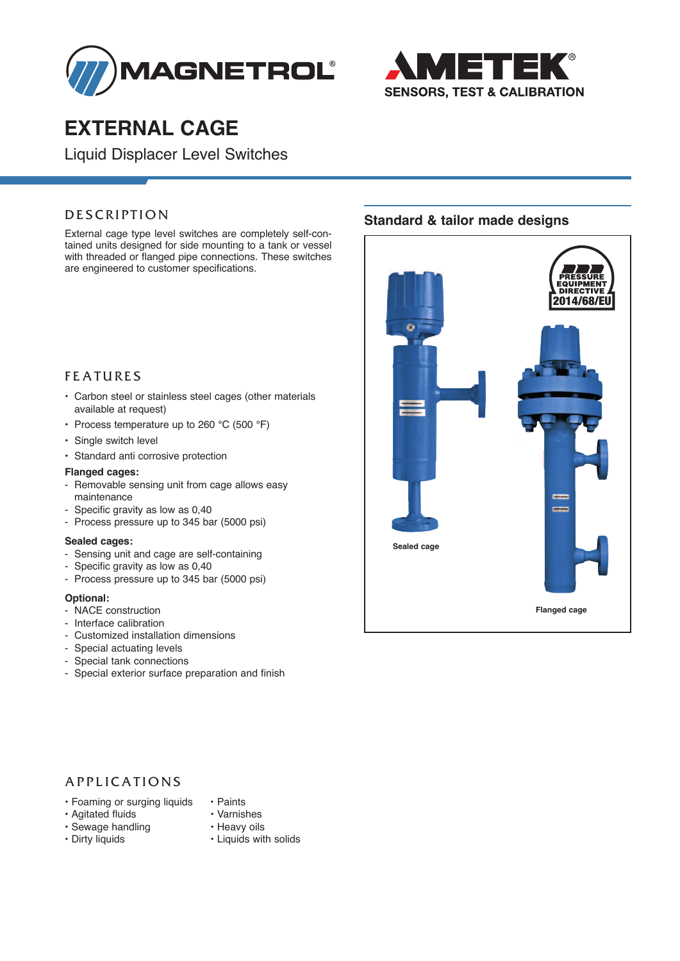



## **ExtErnal cagE**

Liquid Displacer Level Switches

External cage type level switches are completely self-contained units designed for side mounting to a tank or vessel with threaded or flanged pipe connections. These switches are engineered to customer specifications.

## **FEATURES**

- Carbon steel or stainless steel cages (other materials available at request)
- Process temperature up to 260 °C (500 °F)
- Single switch level
- Standard anti corrosive protection

#### **Flanged cages:**

- Removable sensing unit from cage allows easy maintenance
- Specific gravity as low as 0,40
- Process pressure up to 345 bar (5000 psi)

#### **Sealed cages:**

- Sensing unit and cage are self-containing
- Specific gravity as low as 0,40
- Process pressure up to 345 bar (5000 psi)

#### **Optional:**

- NACE construction
- Interface calibration
- Customized installation dimensions
- Special actuating levels
- Special tank connections
- Special exterior surface preparation and finish

## **DESCRIPTION** Standard & tailor made designs



## A P PLICATIONS

- Foaming or surging liquids Paints
- Agitated fluids Varnishes
- -
- Sewage handling Heavy oils<br>• Dirty liquids Liquids wit
	-
	- Liquids with solids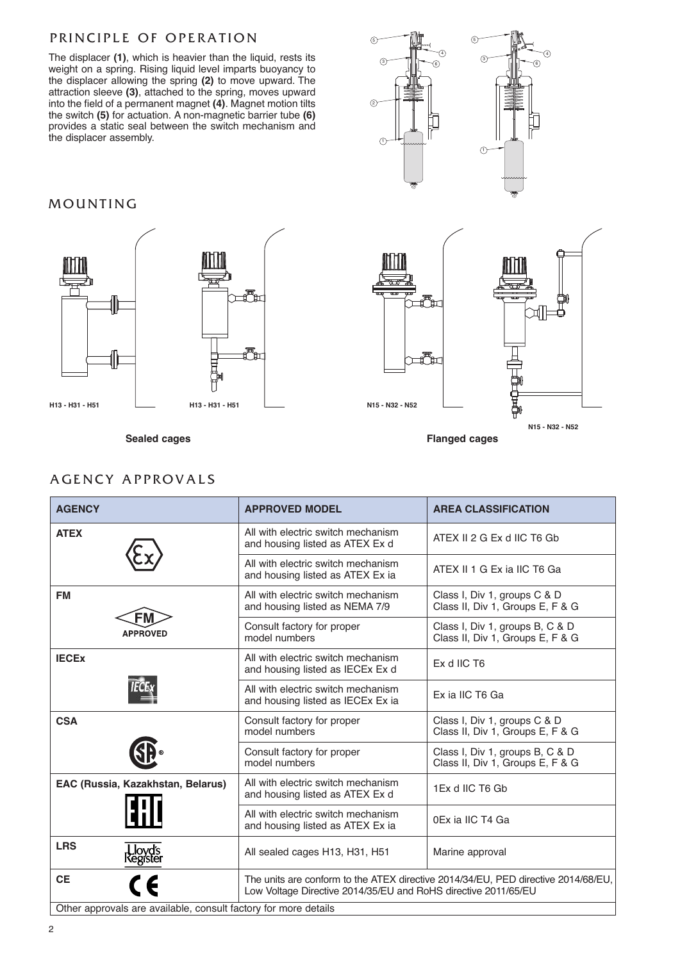## PRINCIPLE OF OPERATION

The displacer **(1)**, which is heavier than the liquid, rests its weight on a spring. Rising liquid level imparts buoyancy to the displacer allowing the spring **(2)** to move upward. The attraction sleeve **(3)**, attached to the spring, moves upward into the field of a permanent magnet **(4)**. Magnet motion tilts the switch **(5)** for actuation. A non-magnetic barrier tube **(6)** provides a static seal between the switch mechanism and the displacer assembly.

## **MOUNTING**



 $\odot$  $\frac{3}{\sqrt{6}}$   $\frac{1}{\sqrt{6}}$ 5  $\sqrt{1}$  $\mathbb{S}$   $\mathbb{H}$   $\rightarrow$   $\mathbb{S}$ 4  $\sqrt{5}$ 2 4



**Sealed cages Flanged cages**

## A GENCY APPROVALS

| <b>AGENCY</b>                                                   | <b>APPROVED MODEL</b>                                                                                                                               | <b>AREA CLASSIFICATION</b>                                          |  |  |  |  |
|-----------------------------------------------------------------|-----------------------------------------------------------------------------------------------------------------------------------------------------|---------------------------------------------------------------------|--|--|--|--|
| <b>ATEX</b>                                                     | All with electric switch mechanism<br>and housing listed as ATEX Ex d                                                                               | ATEX II 2 G Ex d IIC T6 Gb                                          |  |  |  |  |
|                                                                 | All with electric switch mechanism<br>and housing listed as ATEX Ex ia                                                                              | ATEX II 1 G Ex ia IIC T6 Ga                                         |  |  |  |  |
| <b>FM</b><br>FM                                                 | All with electric switch mechanism<br>and housing listed as NEMA 7/9                                                                                | Class I, Div 1, groups C & D<br>Class II, Div 1, Groups E, F & G    |  |  |  |  |
| <b>APPROVED</b>                                                 | Consult factory for proper<br>model numbers                                                                                                         | Class I, Div 1, groups B, C & D<br>Class II, Div 1, Groups E, F & G |  |  |  |  |
| <b>IECEX</b>                                                    | All with electric switch mechanism<br>and housing listed as IECEx Ex d                                                                              | Ex d IIC T6                                                         |  |  |  |  |
|                                                                 | All with electric switch mechanism<br>and housing listed as IECEx Ex ia                                                                             | Ex ia IIC T6 Ga                                                     |  |  |  |  |
| <b>CSA</b>                                                      | Consult factory for proper<br>model numbers                                                                                                         | Class I, Div 1, groups C & D<br>Class II, Div 1, Groups E, F & G    |  |  |  |  |
|                                                                 | Consult factory for proper<br>model numbers                                                                                                         | Class I, Div 1, groups B, C & D<br>Class II, Div 1, Groups E, F & G |  |  |  |  |
| EAC (Russia, Kazakhstan, Belarus)                               | All with electric switch mechanism<br>and housing listed as ATEX Ex d                                                                               | 1Ex d IIC T6 Gb                                                     |  |  |  |  |
|                                                                 | All with electric switch mechanism<br>and housing listed as ATEX Ex ia                                                                              | 0Ex ia IIC T4 Ga                                                    |  |  |  |  |
| <b>LRS</b><br>Lloyd's<br>Register                               | All sealed cages H13, H31, H51                                                                                                                      | Marine approval                                                     |  |  |  |  |
| <b>CE</b><br>$\mathsf{C}\in$                                    | The units are conform to the ATEX directive 2014/34/EU, PED directive 2014/68/EU,<br>Low Voltage Directive 2014/35/EU and RoHS directive 2011/65/EU |                                                                     |  |  |  |  |
| Other approvals are available, consult factory for more details |                                                                                                                                                     |                                                                     |  |  |  |  |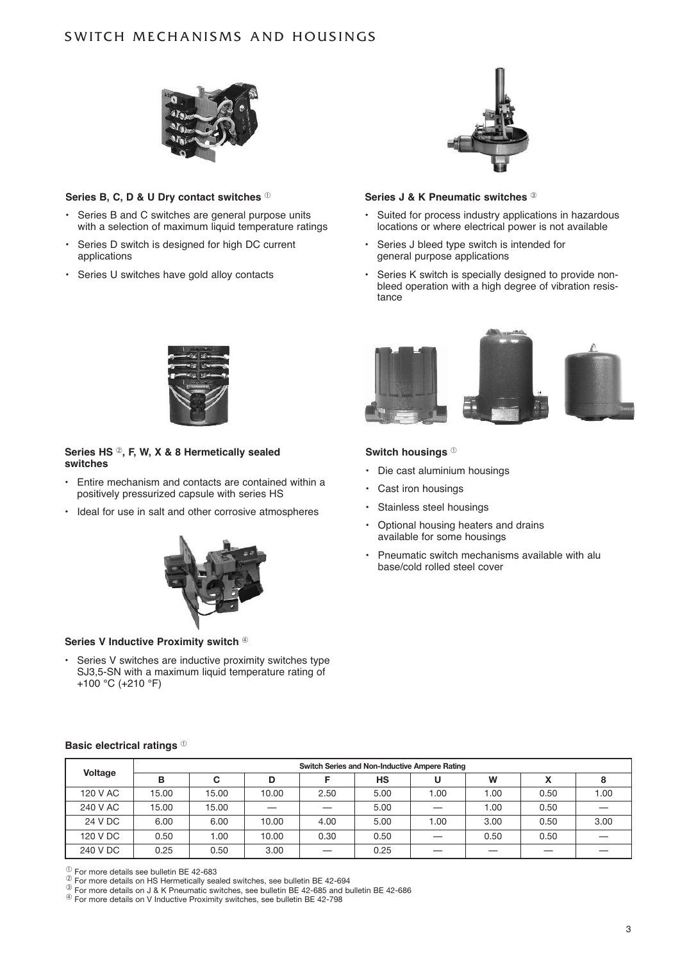## SWITCH MECHANISMS AND HOUSINGS



#### **Series B, c, D & U Dry contact switches** <sup>➀</sup>

- Series B and C switches are general purpose units with a selection of maximum liquid temperature ratings
- Series D switch is designed for high DC current applications
- Series U switches have gold alloy contacts



#### **Series J & K Pneumatic switches**  $\textcircled{3}$

- Suited for process industry applications in hazardous locations or where electrical power is not available
- Series J bleed type switch is intended for general purpose applications
- Series K switch is specially designed to provide nonbleed operation with a high degree of vibration resistance



#### Series HS <sup>2</sup>, F, W, X & 8 Hermetically sealed **switches**

- Entire mechanism and contacts are contained within a positively pressurized capsule with series HS
- Ideal for use in salt and other corrosive atmospheres



#### **Series V Inductive Proximity switch 4**

Series V switches are inductive proximity switches type SJ3,5-SN with a maximum liquid temperature rating of +100 °C (+210 °F)



#### **Switch housings** <sup>➀</sup>

- Die cast aluminium housings
- Cast iron housings
- Stainless steel housings
- Optional housing heaters and drains available for some housings
- Pneumatic switch mechanisms available with alu base/cold rolled steel cover

#### **Basic electrical ratings** <sup>➀</sup>

|          | Switch Series and Non-Inductive Ampere Rating |       |       |      |           |      |      |      |      |  |  |  |
|----------|-----------------------------------------------|-------|-------|------|-----------|------|------|------|------|--|--|--|
| Voltage  | в                                             | C     | D     |      | <b>HS</b> | U    | W    | v    |      |  |  |  |
| 120 V AC | 15.00                                         | 15.00 | 10.00 | 2.50 | 5.00      | 1.00 | 1.00 | 0.50 | 00.1 |  |  |  |
| 240 V AC | 15.00                                         | 15.00 |       |      | 5.00      |      | 1.00 | 0.50 |      |  |  |  |
| 24 V DC  | 6.00                                          | 6.00  | 10.00 | 4.00 | 5.00      | 1.00 | 3.00 | 0.50 | 3.00 |  |  |  |
| 120 V DC | 0.50                                          | 1.00  | 10.00 | 0.30 | 0.50      |      | 0.50 | 0.50 |      |  |  |  |
| 240 V DC | 0.25                                          | 0.50  | 3.00  |      | 0.25      |      |      |      |      |  |  |  |

 $^\circledR$  For more details see bulletin BE 42-683<br> $^\circledR$  For more details on HS Hermetically sealed switches, see bulletin BE 42-694

 $\circ$  For more details on J & K Pheumatic switches, see bulletin BE 42-685 and bulletin BE 42-686<br> $\circ$  For more details on V Inductive Proximity switches, see bulletin BE 42-798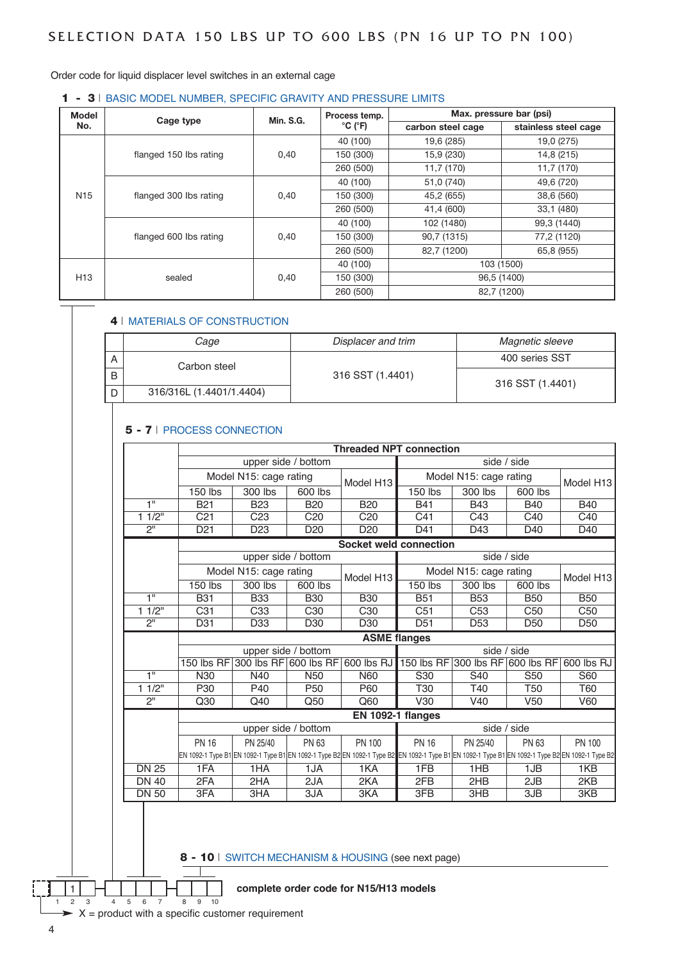Order code for liquid displacer level switches in an external cage

#### 1 - 3 | BASIC MODEL NUMBER, SPECIFIC GRAVITY AND PRESSURE LIMITS

| Model           | Cage type              | <b>Min. S.G.</b> | Process temp.                |                   | Max. pressure bar (psi) |  |
|-----------------|------------------------|------------------|------------------------------|-------------------|-------------------------|--|
| No.             |                        |                  | $^{\circ}$ C ( $^{\circ}$ F) | carbon steel cage | stainless steel cage    |  |
|                 |                        |                  | 40 (100)                     | 19,6 (285)        | 19,0 (275)              |  |
|                 | flanged 150 lbs rating | 0,40             | 150 (300)                    | 15,9 (230)        | 14,8 (215)              |  |
|                 |                        |                  | 260 (500)                    | 11,7 (170)        | 11,7 (170)              |  |
|                 |                        |                  | 40 (100)                     | 51,0 (740)        | 49,6 (720)              |  |
| N <sub>15</sub> | flanged 300 lbs rating | 0,40             | 150 (300)                    | 45,2 (655)        | 38,6 (560)              |  |
|                 |                        |                  | 260 (500)                    | 41,4 (600)        | 33,1 (480)              |  |
|                 |                        |                  | 40 (100)                     | 102 (1480)        | 99.3 (1440)             |  |
|                 | flanged 600 lbs rating | 0,40             | 150 (300)                    | 90,7 (1315)       | 77,2 (1120)             |  |
|                 |                        |                  | 260 (500)                    | 82,7 (1200)       | 65,8 (955)              |  |
|                 | sealed                 |                  | 40 (100)                     |                   | 103 (1500)              |  |
| H <sub>13</sub> |                        | 0,40             | 150 (300)                    | 96,5 (1400)       |                         |  |
|                 |                        |                  | 260 (500)                    |                   | 82,7 (1200)             |  |

#### 4 | MATERIALS OF CONSTRUCTION

|   | Cage                     | Displacer and trim | Magnetic sleeve  |  |  |
|---|--------------------------|--------------------|------------------|--|--|
| Α | Carbon steel             |                    | 400 series SST   |  |  |
| B |                          | 316 SST (1.4401)   | 316 SST (1.4401) |  |  |
|   | 316/316L (1.4401/1.4404) |                    |                  |  |  |

#### 5 - 7 | PROCESS CONNECTION

|                |                 |                        |                       | <b>Threaded NPT connection</b>                                                                                                                                    |                                  |                        |                 |                       |
|----------------|-----------------|------------------------|-----------------------|-------------------------------------------------------------------------------------------------------------------------------------------------------------------|----------------------------------|------------------------|-----------------|-----------------------|
|                |                 |                        | upper side / bottom   |                                                                                                                                                                   |                                  | side / side            |                 |                       |
|                |                 | Model N15: cage rating |                       | Model H <sub>13</sub>                                                                                                                                             |                                  | Model N15: cage rating |                 | Model H13             |
|                | 150 lbs         | 300 lbs                | 600 lbs               |                                                                                                                                                                   | 150 lbs                          | 300 lbs                | 600 lbs         |                       |
| 1"             | <b>B21</b>      | <b>B23</b>             | <b>B20</b>            | <b>B20</b>                                                                                                                                                        | <b>B41</b>                       | <b>B43</b>             | <b>B40</b>      | <b>B40</b>            |
| 11/2"          | C <sub>21</sub> | C <sub>23</sub>        | C <sub>20</sub>       | C <sub>20</sub>                                                                                                                                                   | C41                              | C43                    | C40             | C40                   |
| $\overline{2}$ | D <sub>21</sub> | D <sub>23</sub>        | D <sub>20</sub>       | D <sub>20</sub>                                                                                                                                                   | D41                              | D43                    | D40             | D40                   |
|                |                 |                        |                       | <b>Socket weld connection</b>                                                                                                                                     |                                  |                        |                 |                       |
|                |                 |                        | upper side / bottom   |                                                                                                                                                                   |                                  | side / side            |                 |                       |
|                |                 | Model N15: cage rating |                       | Model N15: cage rating<br>Model H <sub>13</sub>                                                                                                                   |                                  |                        |                 | Model H <sub>13</sub> |
|                | 150 lbs         | 300 lbs                | 600 lbs               |                                                                                                                                                                   | 150 lbs                          | 300 lbs                | 600 lbs         |                       |
| 1"             | <b>B31</b>      | <b>B33</b>             | <b>B30</b>            | <b>B30</b>                                                                                                                                                        | <b>B51</b>                       | <b>B53</b>             | <b>B50</b>      | <b>B50</b>            |
| 11/2"          | C <sub>31</sub> | C <sub>33</sub>        | C <sub>30</sub>       | C <sub>30</sub>                                                                                                                                                   | C <sub>51</sub>                  | C <sub>53</sub>        | C <sub>50</sub> | C <sub>50</sub>       |
| 2"             | D31             | D <sub>33</sub>        | D <sub>30</sub>       | D <sub>30</sub>                                                                                                                                                   | D <sub>51</sub>                  | D <sub>53</sub>        | D <sub>50</sub> | D <sub>50</sub>       |
|                |                 |                        |                       |                                                                                                                                                                   | <b>ASME</b> flanges              |                        |                 |                       |
|                |                 |                        | upper side / bottom   |                                                                                                                                                                   | side / side                      |                        |                 |                       |
|                | 150 lbs RF      |                        | 300 lbs RF 600 lbs RF | 600 lbs $RJ$                                                                                                                                                      | 150 lbs RF 300 lbs RF 600 lbs RF |                        |                 | 600 lbs RJ            |
| $\overline{1}$ | N30             | N40                    | N <sub>50</sub>       | N60                                                                                                                                                               | S <sub>30</sub>                  | S <sub>40</sub>        | S <sub>50</sub> | S60                   |
| 11/2"          | P30             | P40                    | P <sub>50</sub>       | P60                                                                                                                                                               | T30                              | T40                    | <b>T50</b>      | <b>T60</b>            |
| 2"             | Q30             | Q40                    | Q50                   | Q60                                                                                                                                                               | V30                              | V <sub>40</sub>        | V <sub>50</sub> | <b>V60</b>            |
|                |                 |                        |                       |                                                                                                                                                                   | EN 1092-1 flanges                |                        |                 |                       |
|                |                 |                        | upper side / bottom   |                                                                                                                                                                   |                                  | side / side            |                 |                       |
|                | <b>PN 16</b>    | PN 25/40               | PN 63                 | PN 100                                                                                                                                                            | <b>PN 16</b>                     | PN 25/40               | PN 63           | PN 100                |
|                |                 |                        |                       | EN 1092-1 Type B1 EN 1092-1 Type B1 EN 1092-1 Type B2 EN 1092-1 Type B2 EN 1092-1 Type B1 EN 1092-1 Type B1 EN 1092-1 Type B2 EN 1092-1 Type B2 EN 1092-1 Type B2 |                                  |                        |                 |                       |
| <b>DN 25</b>   | 1FA             | 1HA                    | 1JA                   | 1KA                                                                                                                                                               | 1FB                              | 1HB                    | 1JB             | 1KB                   |
| <b>DN 40</b>   | 2FA             | 2HA                    | 2JA                   | 2KA                                                                                                                                                               | 2FB                              | 2HB                    | 2JB             | 2KB                   |
| <b>DN 50</b>   | 3FA             | 3HA                    | 3JA                   | 3KA                                                                                                                                                               | 3FB                              | 3HB                    | 3JB             | 3KB                   |

8 - 10 | SWITCH MECHANISM & HOUSING (see next page)

#### 1 **complete order code for n15/H13 models**

 $\triangleright$  X = product with a specific customer requirement

1 2 3 4 5 6 7 8 9 10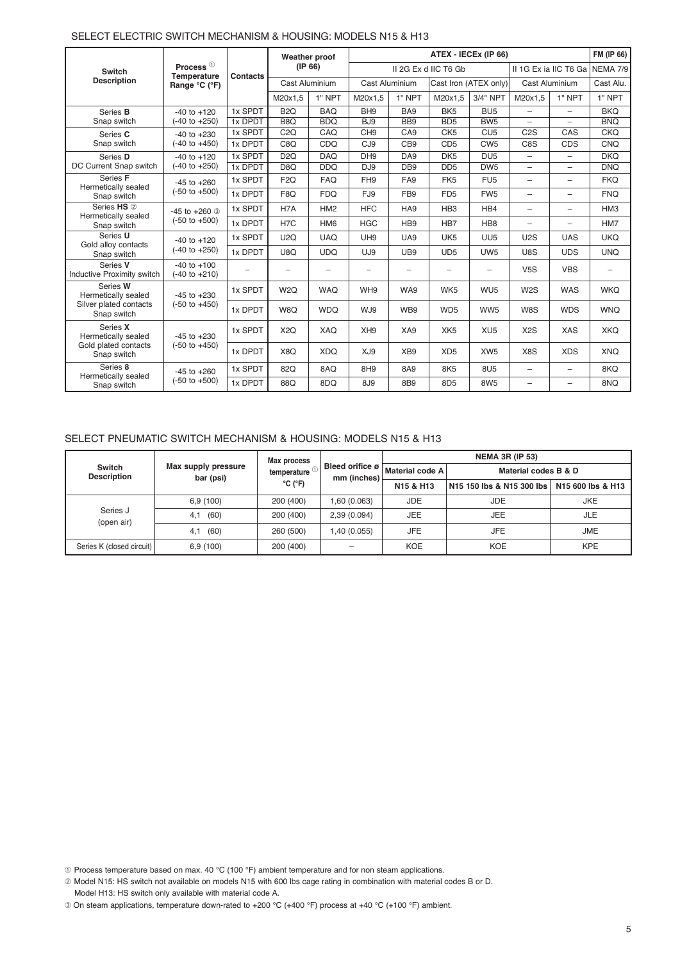|                                        |                                             |          |                          | Weather proof   |                 | ATEX - IECEX (IP 66)     |                       |                 |                          |                          |                          |
|----------------------------------------|---------------------------------------------|----------|--------------------------|-----------------|-----------------|--------------------------|-----------------------|-----------------|--------------------------|--------------------------|--------------------------|
| <b>Switch</b>                          | Process <sup>1</sup><br>Temperature         | Contacts |                          | (IP 66)         |                 |                          | II 2G Ex d IIC T6 Gb  |                 |                          | II 1G Ex ia IIC T6 Ga    | NEMA 7/9                 |
| <b>Description</b>                     | Range °C (°F)                               |          |                          | Cast Aluminium  | Cast Aluminium  |                          | Cast Iron (ATEX only) |                 | Cast Aluminium           |                          | Cast Alu.                |
|                                        |                                             |          | M20x1.5                  | $1"$ NPT        | M20x1.5         | 1" NPT                   | M20x1.5               | 3/4" NPT        | M20x1.5                  | 1" NPT                   | 1" NPT                   |
| Series <b>B</b>                        | $-40$ to $+120$                             | 1x SPDT  | B <sub>2</sub> Q         | <b>BAQ</b>      | BH <sub>9</sub> | BA <sub>9</sub>          | BK <sub>5</sub>       | BU <sub>5</sub> | ÷                        | $\overline{\phantom{0}}$ | <b>BKQ</b>               |
| Snap switch                            | $(-40 \text{ to } +250)$                    | 1x DPDT  | B <sub>8</sub> Q         | <b>BDQ</b>      | BJ <sub>9</sub> | BB <sub>9</sub>          | BD <sub>5</sub>       | BW <sub>5</sub> | $\overline{\phantom{0}}$ | $\overline{\phantom{0}}$ | <b>BNQ</b>               |
| Series C                               | $-40$ to $+230$                             | 1x SPDT  | C2Q                      | CAQ             | CH <sub>9</sub> | CA <sub>9</sub>          | CK <sub>5</sub>       | CU <sub>5</sub> | C <sub>2</sub> S         | CAS                      | <b>CKQ</b>               |
| Snap switch                            | (-40 to +450)                               | 1x DPDT  | C8Q                      | CDQ             | CJ <sub>9</sub> | CB <sub>9</sub>          | CD <sub>5</sub>       | CW <sub>5</sub> | C8S                      | <b>CDS</b>               | CNQ                      |
| Series D                               | $-40$ to $+120$                             | 1x SPDT  | D <sub>2</sub> Q         | <b>DAQ</b>      | DH <sub>9</sub> | DA <sub>9</sub>          | DK <sub>5</sub>       | DU <sub>5</sub> | -                        | $\overline{\phantom{0}}$ | <b>DKQ</b>               |
| DC Current Snap switch                 | $(-40 \text{ to } +250)$                    | 1x DPDT  | D <sub>8</sub> Q         | <b>DDQ</b>      | DJ <sub>9</sub> | DB <sub>9</sub>          | D <sub>D5</sub>       | DW <sub>5</sub> | $\overline{\phantom{0}}$ | $\overline{\phantom{0}}$ | <b>DNQ</b>               |
| Series F<br>Hermetically sealed        | $-45$ to $+260$                             | 1x SPDT  | F <sub>2Q</sub>          | <b>FAQ</b>      | FH <sub>9</sub> | FA <sub>9</sub>          | FK <sub>5</sub>       | FU <sub>5</sub> | $\overline{\phantom{0}}$ | $\overline{\phantom{0}}$ | <b>FKQ</b>               |
| Snap switch                            | $(-50 to +500)$                             | 1x DPDT  | F <sub>8Q</sub>          | <b>FDQ</b>      | FJ9             | FB <sub>9</sub>          | FD <sub>5</sub>       | FW <sub>5</sub> | $\overline{\phantom{0}}$ | $\overline{\phantom{0}}$ | <b>FNQ</b>               |
| Series HS 2<br>Hermetically sealed     | $-45$ to $+260$ 3                           | 1x SPDT  | H7A                      | HM <sub>2</sub> | <b>HFC</b>      | HA <sub>9</sub>          | HB <sub>3</sub>       | HB4             | $\overline{\phantom{0}}$ | $\overline{\phantom{0}}$ | HM <sub>3</sub>          |
| Snap switch                            | $(-50 to +500)$                             | 1x DPDT  | H <sub>7</sub> C         | HM <sub>6</sub> | <b>HGC</b>      | HB <sub>9</sub>          | HB7                   | HB <sub>8</sub> | -                        | $\overline{\phantom{0}}$ | HM7                      |
| Series U<br>Gold alloy contacts        | $-40$ to $+120$                             | 1x SPDT  | <b>U2Q</b>               | <b>UAQ</b>      | UH <sub>9</sub> | UA9                      | UK <sub>5</sub>       | UU <sub>5</sub> | U2S                      | <b>UAS</b>               | <b>UKQ</b>               |
| Snap switch                            | $(-40 \text{ to } +250)$                    | 1x DPDT  | U8Q                      | <b>UDQ</b>      | UJ9             | UB9                      | UD <sub>5</sub>       | UW <sub>5</sub> | U8S                      | <b>UDS</b>               | <b>UNQ</b>               |
| Series V<br>Inductive Proximity switch | $-40$ to $+100$<br>$(-40 \text{ to } +210)$ | -        | $\overline{\phantom{0}}$ |                 |                 | $\overline{\phantom{0}}$ |                       |                 | V <sub>5S</sub>          | <b>VBS</b>               | $\overline{\phantom{0}}$ |
| Series W<br>Hermetically sealed        | $-45$ to $+230$                             | 1x SPDT  | W2Q                      | <b>WAQ</b>      | WH <sub>9</sub> | WA9                      | WK <sub>5</sub>       | WU <sub>5</sub> | W <sub>2</sub> S         | <b>WAS</b>               | <b>WKQ</b>               |
| Silver plated contacts<br>Snap switch  | $(-50 \text{ to } +450)$                    | 1x DPDT  | W8Q                      | <b>WDQ</b>      | WJ9             | WB9                      | WD <sub>5</sub>       | WW5             | W8S                      | <b>WDS</b>               | <b>WNQ</b>               |
| Series X<br>Hermetically sealed        | $-45$ to $+230$                             | 1x SPDT  | X <sub>2</sub> Q         | XAQ             | XH <sub>9</sub> | XA9                      | XK <sub>5</sub>       | XU <sub>5</sub> | X <sub>2</sub> S         | <b>XAS</b>               | <b>XKQ</b>               |
| Gold plated contacts<br>Snap switch    | $(-50 \text{ to } +450)$                    | 1x DPDT  | X8Q                      | <b>XDQ</b>      | XJ9             | XB <sub>9</sub>          | XD <sub>5</sub>       | XW <sub>5</sub> | X8S                      | <b>XDS</b>               | <b>XNQ</b>               |
| Series 8<br>Hermetically sealed        | $-45$ to $+260$                             | 1x SPDT  | 82Q                      | 8AQ             | 8H <sub>9</sub> | 8A9                      | 8K5                   | 8U <sub>5</sub> | $\overline{\phantom{0}}$ | $\overline{\phantom{0}}$ | 8KQ                      |
| Snap switch                            | $(-50 to +500)$                             | 1x DPDT  | 88Q                      | 8DQ             | 8J <sub>9</sub> | 8B <sub>9</sub>          | 8D <sub>5</sub>       | 8W <sub>5</sub> | $\overline{\phantom{0}}$ | $\overline{\phantom{0}}$ | 8NQ                      |

#### SELECT ELECTRIC SWITCH MECHANISM & HOUSING: MODELS N15 & H13

#### SELECT PNEUMATIC SWITCH MECHANISM & HOUSING: MODELS N15 & H13

|                              |                                  |                                           |                                | <b>NEMA 3R (IP 53)</b> |                           |                   |  |
|------------------------------|----------------------------------|-------------------------------------------|--------------------------------|------------------------|---------------------------|-------------------|--|
| Switch<br><b>Description</b> | Max supply pressure<br>bar (psi) | temperature <sup>1</sup><br>$°C$ ( $°F$ ) | Bleed orifice ø<br>mm (inches) | Material code A        | Material codes B & D      |                   |  |
|                              |                                  |                                           |                                | N15 & H13              | N15 150 lbs & N15 300 lbs | N15 600 lbs & H13 |  |
|                              | 6.9(100)                         | 200 (400)                                 | 1,60 (0.063)                   | JDE.                   | <b>JDE</b>                | <b>JKE</b>        |  |
| Series J<br>(open air)       | (60)<br>4.1                      | 200 (400)                                 | 2,39(0.094)                    | <b>JEE</b>             | JEE                       | <b>JLE</b>        |  |
|                              | (60)<br>4.1                      | 260 (500)                                 | 1,40 (0.055)                   | <b>JFE</b>             | <b>JFE</b>                | <b>JME</b>        |  |
| Series K (closed circuit)    | 6,9 (100)                        | 200 (400)                                 |                                | <b>KOE</b>             | <b>KOE</b>                | <b>KPE</b>        |  |

➀ Process temperature based on max. 40 °C (100 °F) ambient temperature and for non steam applications.

¡ Model N15: HS switch not available on models N15 with 600 lbs cage rating in combination with material codes B or D. Model H13: HS switch only available with material code A.

¬ On steam applications, temperature down-rated to +200 °C (+400 °F) process at +40 °C (+100 °F) ambient.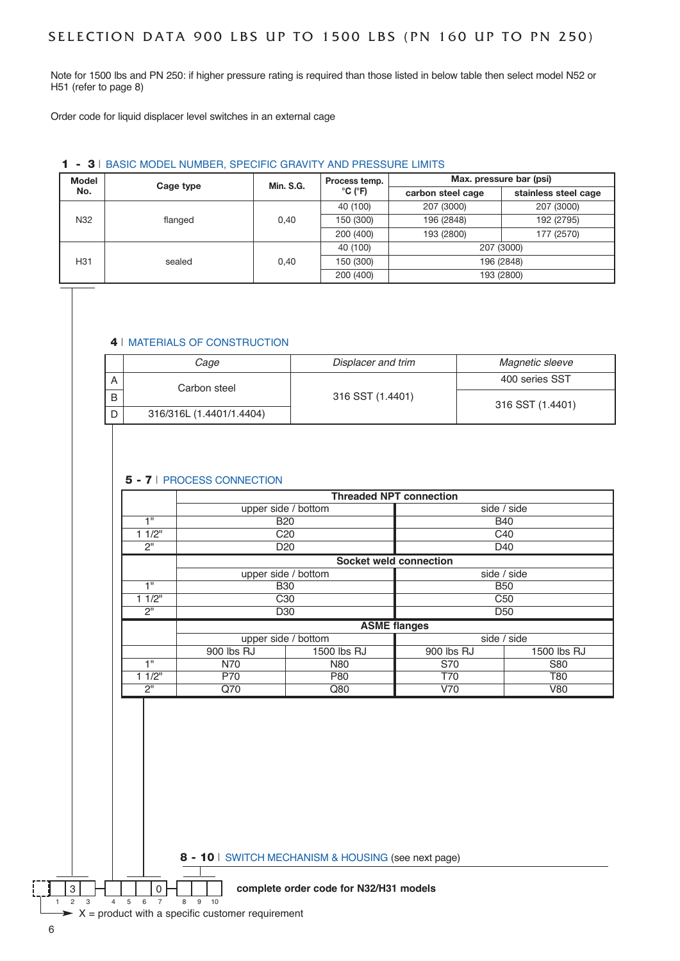Note for 1500 lbs and PN 250: if higher pressure rating is required than those listed in below table then select model N52 or H51 (refer to page 8)

Order code for liquid displacer level switches in an external cage

#### 1 - 3 | BASIC MODEL NUMBER, SPECIFIC GRAVITY AND PRESSURE LIMITS

| <b>Model</b> | Cage type      | <b>Min. S.G.</b> | Process temp.                | Max. pressure bar (psi) |                      |  |
|--------------|----------------|------------------|------------------------------|-------------------------|----------------------|--|
| No.          |                |                  | $^{\circ}$ C ( $^{\circ}$ F) | carbon steel cage       | stainless steel cage |  |
|              | N32<br>flanged |                  | 40 (100)                     | 207 (3000)              | 207 (3000)           |  |
|              |                | 0.40             | 150 (300)                    | 196 (2848)              | 192 (2795)           |  |
|              |                |                  | 200 (400)                    | 193 (2800)              | 177 (2570)           |  |
|              |                |                  | 40 (100)                     |                         | 207 (3000)           |  |
| H31          | sealed         | 0,40             | 150 (300)                    | 196 (2848)              |                      |  |
|              |                |                  | 200 (400)                    | 193 (2800)              |                      |  |

#### 4 | MATERIALS OF CONSTRUCTION

|   | Cage                     | Displacer and trim | Magnetic sleeve  |  |  |
|---|--------------------------|--------------------|------------------|--|--|
| A | Carbon steel             |                    | 400 series SST   |  |  |
| B |                          | 316 SST (1.4401)   | 316 SST (1.4401) |  |  |
|   | 316/316L (1.4401/1.4404) |                    |                  |  |  |

#### 5 - 7 | PROCESS CONNECTION

|       | <b>Threaded NPT connection</b> |                     |                        |                 |  |  |  |  |  |  |
|-------|--------------------------------|---------------------|------------------------|-----------------|--|--|--|--|--|--|
|       |                                | upper side / bottom | side / side            |                 |  |  |  |  |  |  |
| 411   |                                | <b>B20</b>          |                        | <b>B40</b>      |  |  |  |  |  |  |
| 11/2" |                                | C <sub>20</sub>     |                        | C <sub>40</sub> |  |  |  |  |  |  |
| 2"    |                                | D <sub>20</sub>     |                        | D40             |  |  |  |  |  |  |
|       |                                |                     | Socket weld connection |                 |  |  |  |  |  |  |
|       |                                | upper side / bottom | side / side            |                 |  |  |  |  |  |  |
| 4H    |                                | <b>B30</b>          | <b>B50</b>             |                 |  |  |  |  |  |  |
| 11/2" |                                | C <sub>30</sub>     | C <sub>50</sub>        |                 |  |  |  |  |  |  |
| 2"    |                                | D <sub>30</sub>     | D <sub>50</sub>        |                 |  |  |  |  |  |  |
|       |                                |                     | <b>ASME flanges</b>    |                 |  |  |  |  |  |  |
|       |                                | upper side / bottom |                        | side / side     |  |  |  |  |  |  |
|       | 900 lbs RJ                     | 1500 lbs RJ         | 900 lbs RJ             | 1500 lbs RJ     |  |  |  |  |  |  |
| 1"    | N70                            | <b>N80</b>          | S70                    | S80             |  |  |  |  |  |  |
| 11/2" | P70                            | P80                 | T70                    | T80             |  |  |  |  |  |  |
| 2"    | Q70                            | Q80                 | V70                    | V80             |  |  |  |  |  |  |

8 - 10 | SWITCH MECHANISM & HOUSING (see next page)

#### 3 **1 1 0 1 0 complete order code for N32/H31 models**

1 2 3 4 5 6 7 8 9 10  $\sim$  X = product with a specific customer requirement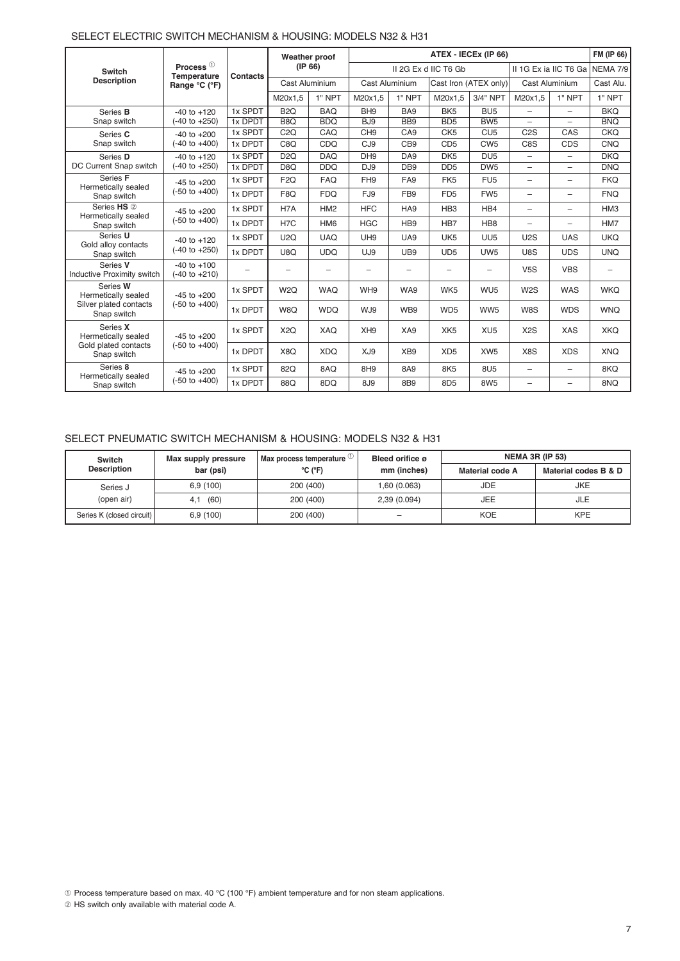|                                        |                                             |                                | Weather proof    |                       | ATEX - IECEX (IP 66)     |                          |                      |                       |                          |                          | FM (IP 66)      |
|----------------------------------------|---------------------------------------------|--------------------------------|------------------|-----------------------|--------------------------|--------------------------|----------------------|-----------------------|--------------------------|--------------------------|-----------------|
| <b>Switch</b>                          | Process $①$                                 |                                |                  | (IP 66)               |                          |                          | II 2G Ex d IIC T6 Gb |                       | II 1G Ex ia IIC T6 Ga    |                          | NEMA 7/9        |
| <b>Description</b>                     | Range °C (°F)                               | Temperature<br><b>Contacts</b> |                  | <b>Cast Aluminium</b> | <b>Cast Aluminium</b>    |                          |                      | Cast Iron (ATEX only) | Cast Aluminium           |                          | Cast Alu.       |
|                                        |                                             |                                | M20x1.5          | 1" NPT                | M20x1.5                  | 1" NPT                   | M20x1.5              | 3/4" NPT              | M20x1,5                  | 1" NPT                   | 1" NPT          |
| Series <b>B</b>                        | $-40$ to $+120$                             | 1x SPDT                        | B <sub>2</sub> Q | <b>BAQ</b>            | BH <sub>9</sub>          | BA <sub>9</sub>          | BK <sub>5</sub>      | BU <sub>5</sub>       | ÷                        | $\overline{\phantom{0}}$ | <b>BKQ</b>      |
| Snap switch                            | (-40 to +250)                               | 1x DPDT                        | B <sub>8</sub> Q | <b>BDO</b>            | BJ <sub>9</sub>          | BB <sub>9</sub>          | B <sub>D5</sub>      | BW <sub>5</sub>       | $\overline{\phantom{0}}$ | $\overline{\phantom{m}}$ | <b>BNO</b>      |
| Series C                               | $-40$ to $+200$                             | 1x SPDT                        | C2Q              | CAQ                   | CH <sub>9</sub>          | CA <sub>9</sub>          | CK <sub>5</sub>      | CU <sub>5</sub>       | C <sub>2</sub> S         | CAS                      | <b>CKQ</b>      |
| Snap switch                            | $(-40 \text{ to } +400)$                    | 1x DPDT                        | C8Q              | CDQ                   | CJ <sub>9</sub>          | CB <sub>9</sub>          | CD <sub>5</sub>      | CW <sub>5</sub>       | C8S                      | CDS                      | <b>CNQ</b>      |
| Series D                               | $-40$ to $+120$                             | 1x SPDT                        | D <sub>2</sub> Q | <b>DAQ</b>            | DH <sub>9</sub>          | DA <sub>9</sub>          | DK <sub>5</sub>      | DU <sub>5</sub>       | $\equiv$                 | $\overline{\phantom{0}}$ | <b>DKO</b>      |
| DC Current Snap switch                 | $(-40 \text{ to } +250)$                    | 1x DPDT                        | D <sub>8</sub> Q | <b>DDQ</b>            | DJ <sub>9</sub>          | DB <sub>9</sub>          | D <sub>D5</sub>      | DW <sub>5</sub>       | $\overline{\phantom{0}}$ | $\overline{\phantom{m}}$ | <b>DNQ</b>      |
| Series F                               | $-45$ to $+200$                             | 1x SPDT                        | F <sub>2Q</sub>  | <b>FAQ</b>            | FH <sub>9</sub>          | FA <sub>9</sub>          | FK <sub>5</sub>      | FU <sub>5</sub>       | $\overline{\phantom{0}}$ |                          | <b>FKQ</b>      |
| Hermetically sealed<br>Snap switch     | $(-50 \text{ to } +400)$                    | 1x DPDT                        | F <sub>8Q</sub>  | <b>FDQ</b>            | FJ9                      | FB <sub>9</sub>          | F <sub>D5</sub>      | FW <sub>5</sub>       | $\overline{\phantom{0}}$ | $\overline{\phantom{m}}$ | <b>FNO</b>      |
| Series HS 2<br>Hermetically sealed     | $-45$ to $+200$                             | 1x SPDT                        | H <sub>7</sub> A | HM <sub>2</sub>       | <b>HFC</b>               | HA <sub>9</sub>          | HB <sub>3</sub>      | HB4                   | $\overline{\phantom{0}}$ | $\overline{\phantom{0}}$ | HM <sub>3</sub> |
| Snap switch                            | $(-50 \text{ to } +400)$                    | 1x DPDT                        | H <sub>7</sub> C | HM <sub>6</sub>       | <b>HGC</b>               | HB <sub>9</sub>          | HB7                  | HB <sub>8</sub>       | $\overline{\phantom{0}}$ | $\overline{\phantom{0}}$ | HM7             |
| Series U<br>Gold alloy contacts        | $-40$ to $+120$                             | 1x SPDT                        | U2Q              | <b>UAQ</b>            | UH <sub>9</sub>          | UA9                      | UK <sub>5</sub>      | UU <sub>5</sub>       | U2S                      | <b>UAS</b>               | <b>UKQ</b>      |
| Snap switch                            | $(-40 \text{ to } +250)$                    | 1x DPDT                        | U8Q              | <b>UDQ</b>            | UJ9                      | UB <sub>9</sub>          | UD <sub>5</sub>      | UW <sub>5</sub>       | U8S                      | <b>UDS</b>               | <b>UNQ</b>      |
| Series V<br>Inductive Proximity switch | $-40$ to $+100$<br>$(-40 \text{ to } +210)$ |                                | -                |                       | $\overline{\phantom{0}}$ | $\overline{\phantom{0}}$ |                      |                       | V <sub>5S</sub>          | <b>VBS</b>               |                 |
| Series W<br>Hermetically sealed        | $-45$ to $+200$                             | 1x SPDT                        | W2Q              | <b>WAQ</b>            | WH <sub>9</sub>          | WA9                      | WK5                  | WU <sub>5</sub>       | W <sub>2</sub> S         | <b>WAS</b>               | <b>WKO</b>      |
| Silver plated contacts<br>Snap switch  | $(-50 \text{ to } +400)$                    | 1x DPDT                        | W8Q              | <b>WDQ</b>            | WJ9                      | WB9                      | WD <sub>5</sub>      | WW5                   | W8S                      | <b>WDS</b>               | <b>WNQ</b>      |
| Series X<br>Hermetically sealed        | $-45$ to $+200$                             | 1x SPDT                        | X <sub>2</sub> Q | XAQ                   | XH <sub>9</sub>          | XA9                      | XK <sub>5</sub>      | XU <sub>5</sub>       | X <sub>2</sub> S         | <b>XAS</b>               | <b>XKQ</b>      |
| Gold plated contacts<br>Snap switch    | $(-50 \text{ to } +400)$                    | 1x DPDT                        | X8Q              | <b>XDQ</b>            | XJ9                      | XB <sub>9</sub>          | XD <sub>5</sub>      | XW <sub>5</sub>       | X8S                      | <b>XDS</b>               | <b>XNQ</b>      |
| Series 8<br>Hermetically sealed        | $-45$ to $+200$                             | 1x SPDT                        | 82Q              | 8AQ                   | 8H <sub>9</sub>          | 8A9                      | 8K <sub>5</sub>      | 8U <sub>5</sub>       | $\overline{\phantom{0}}$ |                          | 8KQ             |
| Snap switch                            | $(-50 \text{ to } +400)$                    | 1x DPDT                        | 88Q              | 8DQ                   | 8J9                      | 8B <sub>9</sub>          | 8D <sub>5</sub>      | 8W <sub>5</sub>       | $\overline{\phantom{0}}$ |                          | 8NQ             |

#### SELECT ELECTRIC SWITCH MECHANISM & HOUSING: MODELS N32 & H31

#### SELECT PNEUMATIC SWITCH MECHANISM & HOUSING: MODELS N32 & H31

| <b>Switch</b>             | Max supply pressure | Max process temperature $\cup$ | Bleed orifice ø | <b>NEMA 3R (IP 53)</b> |                      |  |  |
|---------------------------|---------------------|--------------------------------|-----------------|------------------------|----------------------|--|--|
| <b>Description</b>        | bar (psi)           | $^{\circ}$ C ( $^{\circ}$ F)   | mm (inches)     | Material code A        | Material codes B & D |  |  |
| Series J                  | 6.9(100)            | 200 (400)                      | 1,60 (0.063)    | <b>JDE</b>             | <b>JKE</b>           |  |  |
| (open air)                | (60)<br>4.1         | 200 (400)                      | 2,39 (0.094)    | <b>JEE</b>             | JLE                  |  |  |
| Series K (closed circuit) | 6.9(100)            | 200 (400)                      | -               | <b>KOE</b>             | <b>KPE</b>           |  |  |

➀ Process temperature based on max. 40 °C (100 °F) ambient temperature and for non steam applications.

 $@$  HS switch only available with material code A.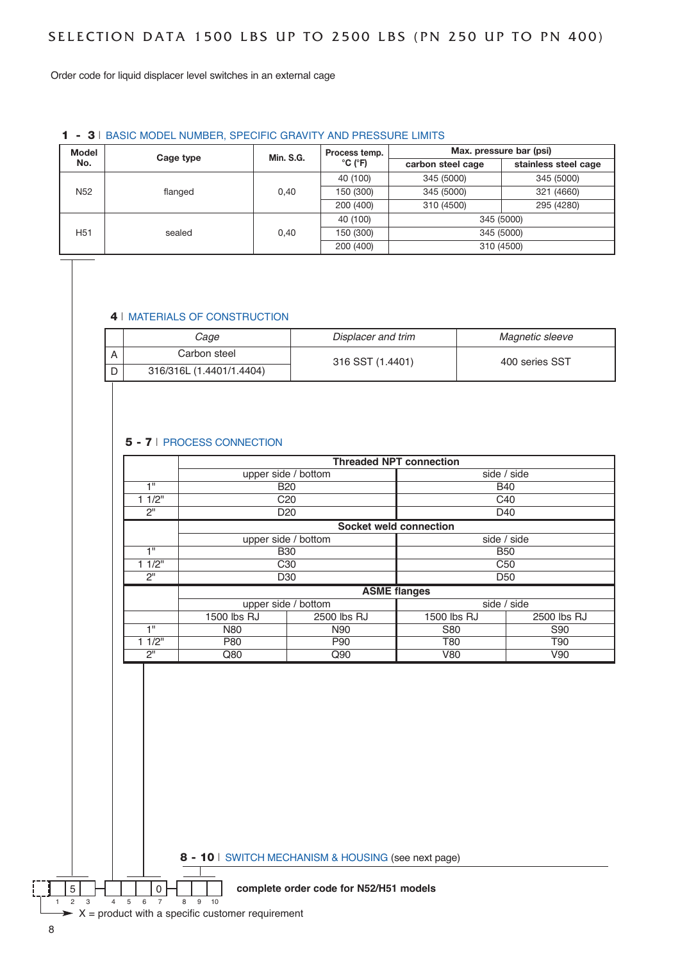Order code for liquid displacer level switches in an external cage

#### 1 - 3 | BASIC MODEL NUMBER, SPECIFIC GRAVITY AND PRESSURE LIMITS

| <b>Model</b><br>Cage type<br>No. |         | Min. S.G. | Process temp.                |                   | Max. pressure bar (psi) |
|----------------------------------|---------|-----------|------------------------------|-------------------|-------------------------|
|                                  |         |           | $^{\circ}$ C ( $^{\circ}$ F) | carbon steel cage | stainless steel cage    |
|                                  |         |           | 40 (100)                     | 345 (5000)        | 345 (5000)              |
| N <sub>52</sub>                  | flanged | 0.40      | 150 (300)                    | 345 (5000)        | 321 (4660)              |
|                                  |         |           | 200 (400)                    | 310 (4500)        | 295 (4280)              |
|                                  |         |           | 40 (100)                     |                   | 345 (5000)              |
| H <sub>51</sub>                  | sealed  | 0.40      | 150 (300)                    |                   | 345 (5000)              |
|                                  |         |           | 200 (400)                    |                   | 310 (4500)              |

#### 4 | MATERIALS OF CONSTRUCTION

| Cage                     | Displacer and trim | Magnetic sleeve |  |  |  |
|--------------------------|--------------------|-----------------|--|--|--|
| Carbon steel             | 316 SST (1.4401)   | 400 series SST  |  |  |  |
| 316/316L (1.4401/1.4404) |                    |                 |  |  |  |

#### 5 - 7 | PROCESS CONNECTION

|       |                     |                     | <b>Threaded NPT connection</b> |                 |  |  |  |  |
|-------|---------------------|---------------------|--------------------------------|-----------------|--|--|--|--|
|       | upper side / bottom |                     | side / side                    |                 |  |  |  |  |
| 4 H   |                     | <b>B20</b>          | <b>B40</b>                     |                 |  |  |  |  |
| 11/2" |                     | C <sub>20</sub>     |                                | C <sub>40</sub> |  |  |  |  |
| 2"    |                     | D <sub>20</sub>     |                                | D40             |  |  |  |  |
|       |                     |                     | <b>Socket weld connection</b>  |                 |  |  |  |  |
|       |                     | upper side / bottom | side / side                    |                 |  |  |  |  |
| 4 H   |                     | <b>B30</b>          | <b>B50</b>                     |                 |  |  |  |  |
| 11/2" |                     | C <sub>30</sub>     | C <sub>50</sub>                |                 |  |  |  |  |
| 2"    |                     | D <sub>30</sub>     | D <sub>50</sub>                |                 |  |  |  |  |
|       |                     |                     | <b>ASME flanges</b>            |                 |  |  |  |  |
|       |                     | upper side / bottom |                                | side / side     |  |  |  |  |
|       | 1500 lbs RJ         | 2500 lbs RJ         | 1500 lbs RJ                    | 2500 lbs RJ     |  |  |  |  |
| 4 H   | <b>N80</b>          | N90                 | S80                            | S90             |  |  |  |  |
| 11/2" | P80                 | P90                 | T90<br>T80                     |                 |  |  |  |  |
| 2"    | Q80                 | Q90                 | V90<br>V80                     |                 |  |  |  |  |

8 - 10 | SWITCH MECHANISM & HOUSING (see next page)

#### 5 **1 1 0 T complete order code for N52/H51 models**

 $\triangleright$  X = product with a specific customer requirement

1 2 3 4 5 6 7 8 9 10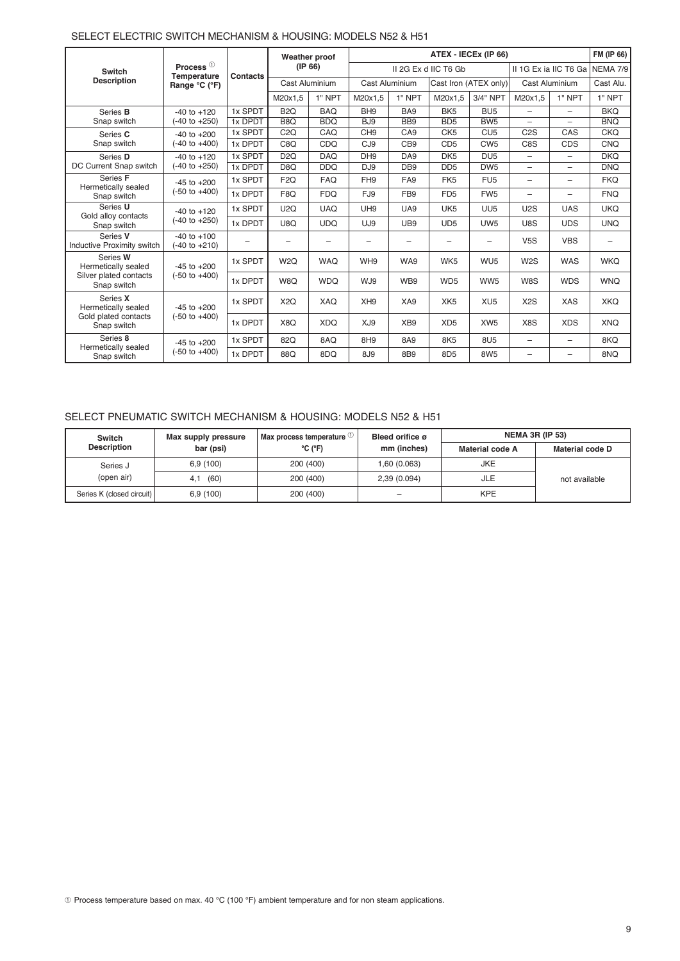#### SELECT ELECTRIC SWITCH MECHANISM & HOUSING: MODELS N52 & H51

|                                        |                                             |                 | Weather proof            |            |                       | ATEX - IECEX (IP 66) |                      |                       |                          |                          |            |  |  |
|----------------------------------------|---------------------------------------------|-----------------|--------------------------|------------|-----------------------|----------------------|----------------------|-----------------------|--------------------------|--------------------------|------------|--|--|
| <b>Switch</b>                          | Process <sup>1</sup><br><b>Temperature</b>  | <b>Contacts</b> | (IP 66)                  |            |                       |                      | II 2G Ex d IIC T6 Gb |                       | II 1G Ex ia IIC T6 Ga    | <b>NEMA 7/9</b>          |            |  |  |
| <b>Description</b>                     | Range °C (°F)                               |                 | Cast Aluminium           |            | <b>Cast Aluminium</b> |                      |                      | Cast Iron (ATEX only) | Cast Aluminium           |                          | Cast Alu.  |  |  |
|                                        |                                             |                 | M20x1.5                  | 1" NPT     | M20x1.5               | 1" NPT               | M20x1.5              | 3/4" NPT              | M20x1.5                  | 1" NPT                   | 1" NPT     |  |  |
| Series <b>B</b>                        | $-40$ to $+120$                             | 1x SPDT         | B <sub>2</sub> Q         | <b>BAO</b> | BH <sub>9</sub>       | BA <sub>9</sub>      | BK <sub>5</sub>      | BU <sub>5</sub>       | -                        | $\overline{\phantom{0}}$ | <b>BKO</b> |  |  |
| Snap switch                            | $(-40 \text{ to } +250)$                    | 1x DPDT         | B <sub>8</sub> Q         | <b>BDQ</b> | BJ <sub>9</sub>       | BB <sub>9</sub>      | B <sub>D5</sub>      | BW <sub>5</sub>       | $=$                      | $\overline{\phantom{0}}$ | <b>BNQ</b> |  |  |
| Series C                               | $-40$ to $+200$                             | 1x SPDT         | C2Q                      | CAQ        | CH <sub>9</sub>       | CA <sub>9</sub>      | CK <sub>5</sub>      | CU <sub>5</sub>       | C <sub>2</sub> S         | CAS                      | <b>CKQ</b> |  |  |
| Snap switch                            | $(-40 \text{ to } +400)$                    | 1x DPDT         | C <sub>8</sub> Q         | CDQ        | CJ <sub>9</sub>       | CB <sub>9</sub>      | CD <sub>5</sub>      | CW <sub>5</sub>       | C8S                      | <b>CDS</b>               | <b>CNQ</b> |  |  |
| Series D                               | $-40$ to $+120$                             | 1x SPDT         | D <sub>2</sub> Q         | <b>DAQ</b> | DH <sub>9</sub>       | DA <sub>9</sub>      | DK <sub>5</sub>      | DU <sub>5</sub>       | $\overline{\phantom{0}}$ | $\overline{\phantom{0}}$ | <b>DKQ</b> |  |  |
| DC Current Snap switch                 | $(-40 \text{ to } +250)$                    | 1x DPDT         | D <sub>8</sub> Q         | <b>DDQ</b> | DJ <sub>9</sub>       | DB <sub>9</sub>      | D <sub>D5</sub>      | DW <sub>5</sub>       | $\overline{\phantom{0}}$ | $\overline{\phantom{0}}$ | <b>DNQ</b> |  |  |
| Series F<br>Hermetically sealed        | $-45$ to $+200$<br>$(-50 \text{ to } +400)$ | 1x SPDT         | F <sub>2Q</sub>          | <b>FAQ</b> | FH <sub>9</sub>       | FA <sub>9</sub>      | FK <sub>5</sub>      | FU <sub>5</sub>       | $\overline{\phantom{0}}$ | $\overline{\phantom{0}}$ | <b>FKQ</b> |  |  |
| Snap switch                            |                                             | 1x DPDT         | F8Q                      | <b>FDQ</b> | FJ9                   | FB <sub>9</sub>      | FD <sub>5</sub>      | FW <sub>5</sub>       | -                        | $\overline{\phantom{0}}$ | <b>FNQ</b> |  |  |
| Series U<br>Gold alloy contacts        | $-40$ to $+120$<br>$(-40 \text{ to } +250)$ | 1x SPDT         | U2Q                      | <b>UAQ</b> | UH <sub>9</sub>       | UA9                  | UK <sub>5</sub>      | UU <sub>5</sub>       | U2S                      | <b>UAS</b>               | <b>UKQ</b> |  |  |
| Snap switch                            |                                             | 1x DPDT         | U8Q                      | <b>UDQ</b> | UJ9                   | UB9                  | UD <sub>5</sub>      | UW <sub>5</sub>       | U8S                      | <b>UDS</b>               | <b>UNQ</b> |  |  |
| Series V<br>Inductive Proximity switch | $-40$ to $+100$<br>$(-40 \text{ to } +210)$ | -               | $\overline{\phantom{0}}$ |            | -                     | -                    |                      |                       | V5S                      | <b>VBS</b>               |            |  |  |
| Series W<br>Hermetically sealed        | $-45$ to $+200$                             | 1x SPDT         | W <sub>2</sub> Q         | <b>WAQ</b> | WH <sub>9</sub>       | WA9                  | WK <sub>5</sub>      | WU <sub>5</sub>       | W <sub>2</sub> S         | <b>WAS</b>               | <b>WKQ</b> |  |  |
| Silver plated contacts<br>Snap switch  | $(-50 \text{ to } +400)$                    | 1x DPDT         | W8Q                      | <b>WDQ</b> | WJ9                   | WB9                  | WD <sub>5</sub>      | WW <sub>5</sub>       | W8S                      | <b>WDS</b>               | <b>WNQ</b> |  |  |
| Series X<br>Hermetically sealed        | $-45$ to $+200$                             | 1x SPDT         | X <sub>2</sub> Q         | XAO        | XH <sub>9</sub>       | XA9                  | XK <sub>5</sub>      | XU <sub>5</sub>       | X <sub>2</sub> S         | <b>XAS</b>               | <b>XKO</b> |  |  |
| Gold plated contacts<br>Snap switch    | $(-50 \text{ to } +400)$                    | 1x DPDT         | X8Q                      | <b>XDQ</b> | XJ9                   | XB <sub>9</sub>      | XD <sub>5</sub>      | XW <sub>5</sub>       | X8S                      | <b>XDS</b>               | <b>XNQ</b> |  |  |
| Series 8<br>Hermetically sealed        | $-45$ to $+200$                             | 1x SPDT         | 82Q                      | 8AQ        | 8H <sub>9</sub>       | 8A9                  | 8K5                  | 8U <sub>5</sub>       | $\overline{\phantom{0}}$ | $\overline{\phantom{0}}$ | 8KQ        |  |  |
| Snap switch                            | $(-50 \text{ to } +400)$                    | 1x DPDT         | 88Q                      | 8DQ        | 8J9                   | 8B9                  | 8D <sub>5</sub>      | 8W <sub>5</sub>       | $\overline{\phantom{0}}$ | $\overline{\phantom{0}}$ | 8NQ        |  |  |

### SELECT PNEUMATIC SWITCH MECHANISM & HOUSING: MODELS N52 & H51

| <b>Switch</b>             | Max supply pressure | Max process temperature $U$  | Bleed orifice ø |                 | <b>NEMA 3R (IP 53)</b> |
|---------------------------|---------------------|------------------------------|-----------------|-----------------|------------------------|
| <b>Description</b>        | bar (psi)           | $^{\circ}$ C ( $^{\circ}$ F) | mm (inches)     | Material code A | Material code D        |
| Series J                  | 6.9(100)            | 200 (400)                    | 1,60 (0.063)    | <b>JKE</b>      |                        |
| (open air)                | (60)<br>4.1         | 200 (400)                    | 2,39 (0.094)    | JLE             | not available          |
| Series K (closed circuit) | 6.9(100)            | 200 (400)                    | -               | <b>KPE</b>      |                        |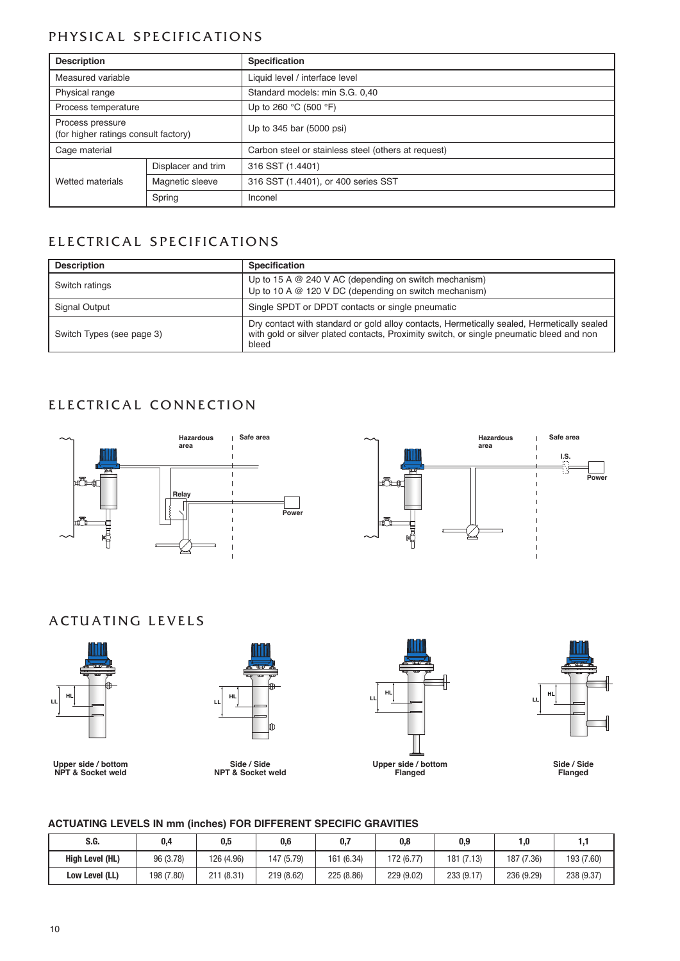## PHYSICAL SPECIFICATIONS

| <b>Description</b>                                       |                    | <b>Specification</b>                                |  |  |  |  |  |  |
|----------------------------------------------------------|--------------------|-----------------------------------------------------|--|--|--|--|--|--|
| Measured variable                                        |                    | Liquid level / interface level                      |  |  |  |  |  |  |
| Physical range                                           |                    | Standard models: min S.G. 0,40                      |  |  |  |  |  |  |
| Process temperature                                      |                    | Up to 260 $^{\circ}$ C (500 $^{\circ}$ F)           |  |  |  |  |  |  |
| Process pressure<br>(for higher ratings consult factory) |                    | Up to 345 bar (5000 psi)                            |  |  |  |  |  |  |
| Cage material                                            |                    | Carbon steel or stainless steel (others at request) |  |  |  |  |  |  |
|                                                          | Displacer and trim | 316 SST (1.4401)                                    |  |  |  |  |  |  |
| Magnetic sleeve<br>Wetted materials                      |                    | 316 SST (1.4401), or 400 series SST                 |  |  |  |  |  |  |
| Spring                                                   |                    | Inconel                                             |  |  |  |  |  |  |

## ELECTRICAL SPECIFICATIONS

| <b>Description</b>        | <b>Specification</b>                                                                                                                                                                            |
|---------------------------|-------------------------------------------------------------------------------------------------------------------------------------------------------------------------------------------------|
| Switch ratings            | Up to 15 A $@$ 240 V AC (depending on switch mechanism)<br>Up to 10 A $@$ 120 V DC (depending on switch mechanism)                                                                              |
| Signal Output             | Single SPDT or DPDT contacts or single pneumatic                                                                                                                                                |
| Switch Types (see page 3) | Dry contact with standard or gold alloy contacts, Hermetically sealed, Hermetically sealed<br>with gold or silver plated contacts, Proximity switch, or single pneumatic bleed and non<br>bleed |

## ELECTRICAL CONNECTION





## A CTUATING LEVELS



**Upper side / bottom nPt & Socket weld**

**LL**

**Side / Side nPt & Socket weld**





**Side / Side Flanged**

#### **actUatIng lEVElS In mm (inches) FOr DIFFErEnt SPEcIFIc graVItIES**

| S.G.                   | 0.5<br>0.4                            |            | 0.7<br>0.6 |            | 0,8                      | 0,9        | 1.0        |            |  |
|------------------------|---------------------------------------|------------|------------|------------|--------------------------|------------|------------|------------|--|
| <b>High Level (HL)</b> | 96 (3.78)                             | 126 (4.96) | 147 (5.79) |            | 161 (6.34)<br>172 (6.77) |            | 187 (7.36) | 193 (7.60) |  |
| Low Level (LL)         | 198 (7.80)<br>211(8.31)<br>219 (8.62) |            | 225 (8.86) | 229 (9.02) | 233 (9.17)               | 236 (9.29) | 238 (9.37) |            |  |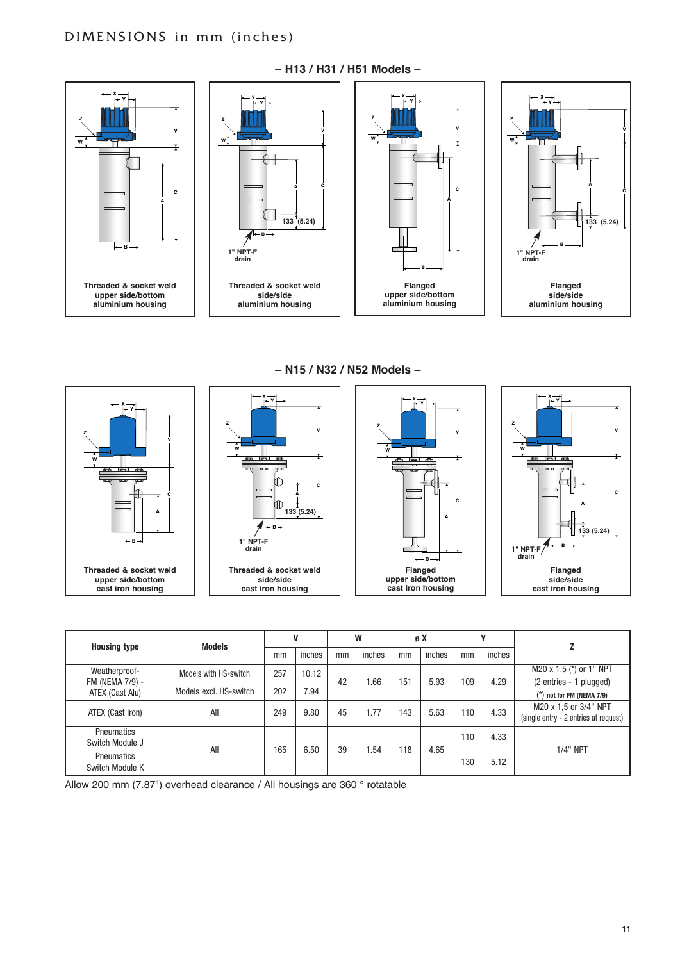

**– H13 / H31 / H51 Models –**

**– n15 / n32 / n52 Models –**



| <b>Housing type</b>                  | <b>Models</b>          |     |        |    | W      |     | øX     |     |        |                                                                |      |                                                    |
|--------------------------------------|------------------------|-----|--------|----|--------|-----|--------|-----|--------|----------------------------------------------------------------|------|----------------------------------------------------|
|                                      |                        | mm  | inches | mm | inches | mm  | inches | mm  | inches |                                                                |      |                                                    |
| Weatherproof-<br>FM (NEMA 7/9) -     | Models with HS-switch  | 257 | 10.12  | 42 | 1.66   | 151 | 5.93   |     |        | 109                                                            | 4.29 | M20 x 1,5 (*) or 1" NPT<br>(2 entries - 1 plugged) |
| ATEX (Cast Alu)                      | Models excl. HS-switch | 202 | 7.94   |    |        |     |        |     |        | $(*)$ not for FM (NEMA 7/9)                                    |      |                                                    |
| ATEX (Cast Iron)                     | All                    | 249 | 9.80   | 45 | 1.77   | 143 | 5.63   | 110 | 4.33   | M20 x 1,5 or 3/4" NPT<br>(single entry - 2 entries at request) |      |                                                    |
| <b>Pneumatics</b><br>Switch Module J |                        |     |        | 39 |        |     |        | 110 | 4.33   |                                                                |      |                                                    |
| <b>Pneumatics</b><br>Switch Module K | All                    | 165 | 6.50   |    | 1.54   | 118 | 4.65   | 130 | 5.12   | $1/4$ " NPT                                                    |      |                                                    |

Allow 200 mm (7.87") overhead clearance / All housings are 360 ° rotatable